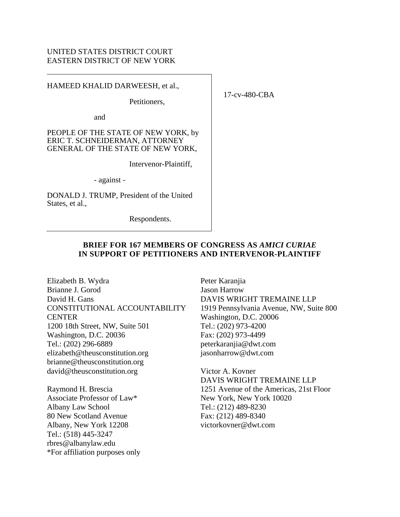#### UNITED STATES DISTRICT COURT EASTERN DISTRICT OF NEW YORK

HAMEED KHALID DARWEESH, et al.,

Petitioners,

and

PEOPLE OF THE STATE OF NEW YORK, by ERIC T. SCHNEIDERMAN, ATTORNEY GENERAL OF THE STATE OF NEW YORK,

Intervenor-Plaintiff,

- against -

DONALD J. TRUMP, President of the United States, et al.,

Respondents.

#### **BRIEF FOR 167 MEMBERS OF CONGRESS AS** *AMICI CURIAE* **IN SUPPORT OF PETITIONERS AND INTERVENOR-PLAINTIFF**

Elizabeth B. Wydra Brianne J. Gorod David H. Gans CONSTITUTIONAL ACCOUNTABILITY **CENTER** 1200 18th Street, NW, Suite 501 Washington, D.C. 20036 Tel.: (202) 296-6889 elizabeth@theusconstitution.org brianne@theusconstitution.org david@theusconstitution.org

Raymond H. Brescia Associate Professor of Law\* Albany Law School 80 New Scotland Avenue Albany, New York 12208 Tel.: (518) 445-3247 rbres@albanylaw.edu \*For affiliation purposes only Peter Karanjia Jason Harrow DAVIS WRIGHT TREMAINE LLP 1919 Pennsylvania Avenue, NW, Suite 800 Washington, D.C. 20006 Tel.: (202) 973-4200 Fax: (202) 973-4499 peterkaranjia@dwt.com jasonharrow@dwt.com

Victor A. Kovner DAVIS WRIGHT TREMAINE LLP 1251 Avenue of the Americas, 21st Floor New York, New York 10020 Tel.: (212) 489-8230 Fax: (212) 489-8340 victorkovner@dwt.com

17-cv-480-CBA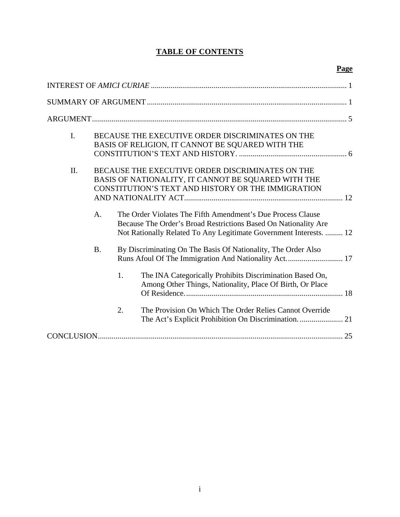# **TABLE OF CONTENTS**

# **Page**

| $\mathbf{I}$ . |           | BECAUSE THE EXECUTIVE ORDER DISCRIMINATES ON THE<br>BASIS OF RELIGION, IT CANNOT BE SQUARED WITH THE                                                                                                 |
|----------------|-----------|------------------------------------------------------------------------------------------------------------------------------------------------------------------------------------------------------|
| II.            |           | BECAUSE THE EXECUTIVE ORDER DISCRIMINATES ON THE<br>BASIS OF NATIONALITY, IT CANNOT BE SQUARED WITH THE<br>CONSTITUTION'S TEXT AND HISTORY OR THE IMMIGRATION                                        |
|                | A.        | The Order Violates The Fifth Amendment's Due Process Clause<br>Because The Order's Broad Restrictions Based On Nationality Are<br>Not Rationally Related To Any Legitimate Government Interests.  12 |
|                | <b>B.</b> | By Discriminating On The Basis Of Nationality, The Order Also                                                                                                                                        |
|                |           | The INA Categorically Prohibits Discrimination Based On,<br>1.<br>Among Other Things, Nationality, Place Of Birth, Or Place                                                                          |
|                |           | 2.<br>The Provision On Which The Order Relies Cannot Override                                                                                                                                        |
|                |           |                                                                                                                                                                                                      |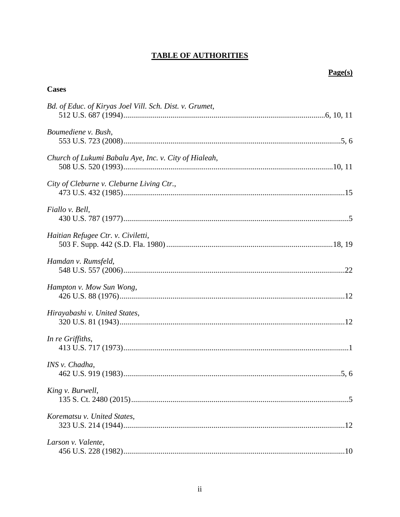# **TABLE OF AUTHORITIES**

# $Page(s)$

| <b>Cases</b>                                            |
|---------------------------------------------------------|
| Bd. of Educ. of Kiryas Joel Vill. Sch. Dist. v. Grumet, |
| Boumediene v. Bush,                                     |
| Church of Lukumi Babalu Aye, Inc. v. City of Hialeah,   |
| City of Cleburne v. Cleburne Living Ctr.,               |
| Fiallo v. Bell,                                         |
| Haitian Refugee Ctr. v. Civiletti,                      |
| Hamdan v. Rumsfeld,                                     |
| Hampton v. Mow Sun Wong,                                |
| Hirayabashi v. United States,                           |
| In re Griffiths,                                        |
| INS v. Chadha,                                          |
| King v. Burwell,                                        |
| Korematsu v. United States,                             |
| Larson v. Valente,                                      |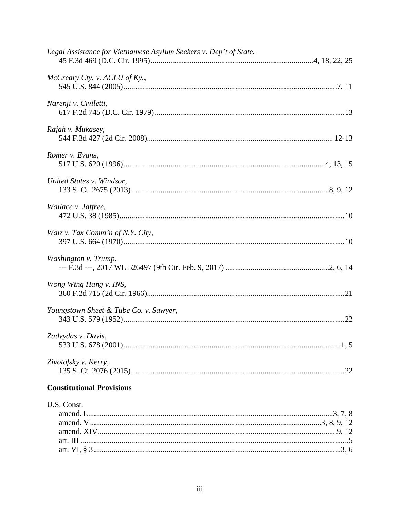| Legal Assistance for Vietnamese Asylum Seekers v. Dep't of State, |  |
|-------------------------------------------------------------------|--|
| McCreary Cty. v. ACLU of Ky.,                                     |  |
| Narenji v. Civiletti,                                             |  |
| Rajah v. Mukasey,                                                 |  |
| Romer v. Evans,                                                   |  |
| United States v. Windsor,                                         |  |
| Wallace v. Jaffree,                                               |  |
| Walz v. Tax Comm'n of N.Y. City,                                  |  |
| Washington v. Trump,                                              |  |
| Wong Wing Hang v. INS,                                            |  |
| Youngstown Sheet & Tube Co. v. Sawyer,                            |  |
| Zadvydas v. Davis,                                                |  |
| Zivotofsky v. Kerry,                                              |  |
| <b>Constitutional Provisions</b>                                  |  |
| U.S. Const.                                                       |  |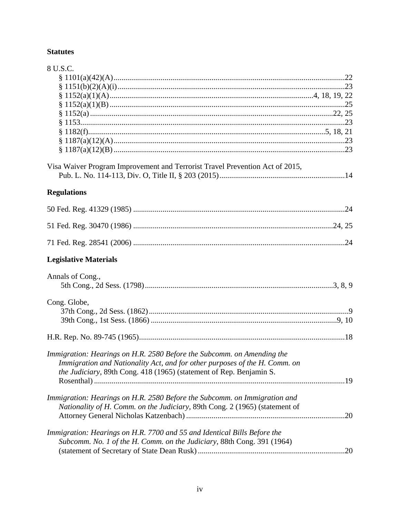# **Statutes**

| 8 U.S.C.                                                                                                                                                                                                                            |  |
|-------------------------------------------------------------------------------------------------------------------------------------------------------------------------------------------------------------------------------------|--|
|                                                                                                                                                                                                                                     |  |
|                                                                                                                                                                                                                                     |  |
|                                                                                                                                                                                                                                     |  |
|                                                                                                                                                                                                                                     |  |
|                                                                                                                                                                                                                                     |  |
|                                                                                                                                                                                                                                     |  |
|                                                                                                                                                                                                                                     |  |
|                                                                                                                                                                                                                                     |  |
|                                                                                                                                                                                                                                     |  |
| Visa Waiver Program Improvement and Terrorist Travel Prevention Act of 2015,                                                                                                                                                        |  |
|                                                                                                                                                                                                                                     |  |
| <b>Regulations</b>                                                                                                                                                                                                                  |  |
|                                                                                                                                                                                                                                     |  |
|                                                                                                                                                                                                                                     |  |
|                                                                                                                                                                                                                                     |  |
| <b>Legislative Materials</b>                                                                                                                                                                                                        |  |
| Annals of Cong.,                                                                                                                                                                                                                    |  |
| Cong. Globe,                                                                                                                                                                                                                        |  |
|                                                                                                                                                                                                                                     |  |
| Immigration: Hearings on H.R. 2580 Before the Subcomm. on Amending the<br>Immigration and Nationality Act, and for other purposes of the H. Comm. on<br><i>the Judiciary</i> , 89th Cong. 418 (1965) (statement of Rep. Benjamin S. |  |
| Immigration: Hearings on H.R. 2580 Before the Subcomm. on Immigration and<br>Nationality of H. Comm. on the Judiciary, 89th Cong. 2 (1965) (statement of                                                                            |  |
| Immigration: Hearings on H.R. 7700 and 55 and Identical Bills Before the<br>Subcomm. No. 1 of the H. Comm. on the Judiciary, 88th Cong. 391 (1964)                                                                                  |  |
|                                                                                                                                                                                                                                     |  |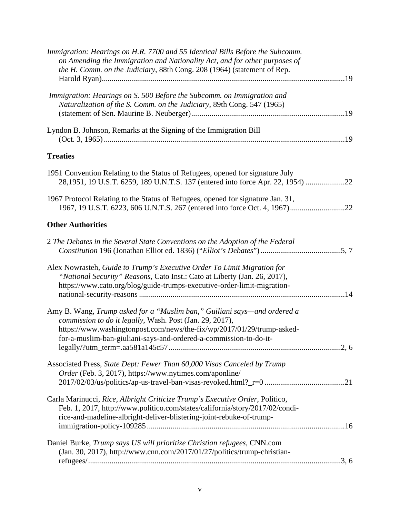| Immigration: Hearings on H.R. 7700 and 55 Identical Bills Before the Subcomm.<br>on Amending the Immigration and Nationality Act, and for other purposes of<br>the H. Comm. on the Judiciary, 88th Cong. 208 (1964) (statement of Rep.                                              |
|-------------------------------------------------------------------------------------------------------------------------------------------------------------------------------------------------------------------------------------------------------------------------------------|
| Immigration: Hearings on S. 500 Before the Subcomm. on Immigration and<br>Naturalization of the S. Comm. on the Judiciary, 89th Cong. 547 (1965)                                                                                                                                    |
| Lyndon B. Johnson, Remarks at the Signing of the Immigration Bill                                                                                                                                                                                                                   |
| <b>Treaties</b>                                                                                                                                                                                                                                                                     |
| 1951 Convention Relating to the Status of Refugees, opened for signature July<br>28,1951, 19 U.S.T. 6259, 189 U.N.T.S. 137 (entered into force Apr. 22, 1954) 22                                                                                                                    |
| 1967 Protocol Relating to the Status of Refugees, opened for signature Jan. 31,                                                                                                                                                                                                     |
| <b>Other Authorities</b>                                                                                                                                                                                                                                                            |
| 2 The Debates in the Several State Conventions on the Adoption of the Federal                                                                                                                                                                                                       |
| Alex Nowrasteh, Guide to Trump's Executive Order To Limit Migration for<br>"National Security" Reasons, Cato Inst.: Cato at Liberty (Jan. 26, 2017),<br>https://www.cato.org/blog/guide-trumps-executive-order-limit-migration-                                                     |
| Amy B. Wang, Trump asked for a "Muslim ban," Guiliani says—and ordered a<br>commission to do it legally, Wash. Post (Jan. 29, 2017),<br>https://www.washingtonpost.com/news/the-fix/wp/2017/01/29/trump-asked-<br>for-a-muslim-ban-giuliani-says-and-ordered-a-commission-to-do-it- |
| Associated Press, State Dept: Fewer Than 60,000 Visas Canceled by Trump<br>Order (Feb. 3, 2017), https://www.nytimes.com/aponline/                                                                                                                                                  |
| Carla Marinucci, Rice, Albright Criticize Trump's Executive Order, Politico,<br>Feb. 1, 2017, http://www.politico.com/states/california/story/2017/02/condi-<br>rice-and-madeline-albright-deliver-blistering-joint-rebuke-of-trump-                                                |
| Daniel Burke, Trump says US will prioritize Christian refugees, CNN.com<br>(Jan. 30, 2017), http://www.cnn.com/2017/01/27/politics/trump-christian-                                                                                                                                 |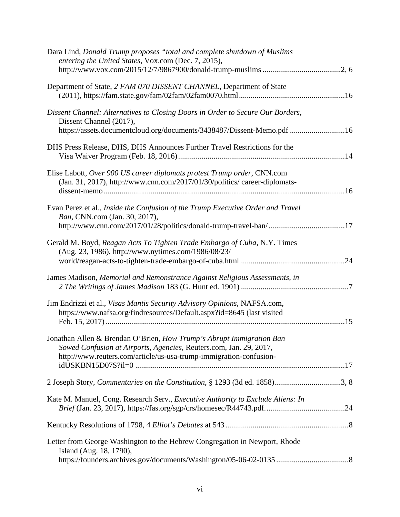| Dara Lind, Donald Trump proposes "total and complete shutdown of Muslims<br>entering the United States, Vox.com (Dec. 7, 2015),                                                                                         |
|-------------------------------------------------------------------------------------------------------------------------------------------------------------------------------------------------------------------------|
| Department of State, 2 FAM 070 DISSENT CHANNEL, Department of State                                                                                                                                                     |
| Dissent Channel: Alternatives to Closing Doors in Order to Secure Our Borders,<br>Dissent Channel (2017),<br>https://assets.documentcloud.org/documents/3438487/Dissent-Memo.pdf 16                                     |
| DHS Press Release, DHS, DHS Announces Further Travel Restrictions for the                                                                                                                                               |
| Elise Labott, Over 900 US career diplomats protest Trump order, CNN.com<br>(Jan. 31, 2017), http://www.cnn.com/2017/01/30/politics/ career-diplomats-                                                                   |
| Evan Perez et al., Inside the Confusion of the Trump Executive Order and Travel<br>Ban, CNN.com (Jan. 30, 2017),<br>http://www.cnn.com/2017/01/28/politics/donald-trump-travel-ban/17                                   |
| Gerald M. Boyd, Reagan Acts To Tighten Trade Embargo of Cuba, N.Y. Times<br>(Aug. 23, 1986), http://www.nytimes.com/1986/08/23/                                                                                         |
| James Madison, Memorial and Remonstrance Against Religious Assessments, in                                                                                                                                              |
| Jim Endrizzi et al., Visas Mantis Security Advisory Opinions, NAFSA.com,<br>https://www.nafsa.org/findresources/Default.aspx?id=8645 (last visited                                                                      |
| Jonathan Allen & Brendan O'Brien, <i>How Trump's Abrupt Immigration Ban</i><br>Sowed Confusion at Airports, Agencies, Reuters.com, Jan. 29, 2017,<br>http://www.reuters.com/article/us-usa-trump-immigration-confusion- |
| 2 Joseph Story, Commentaries on the Constitution, § 1293 (3d ed. 1858)3, 8                                                                                                                                              |
| Kate M. Manuel, Cong. Research Serv., Executive Authority to Exclude Aliens: In                                                                                                                                         |
|                                                                                                                                                                                                                         |
| Letter from George Washington to the Hebrew Congregation in Newport, Rhode<br>Island (Aug. 18, 1790),                                                                                                                   |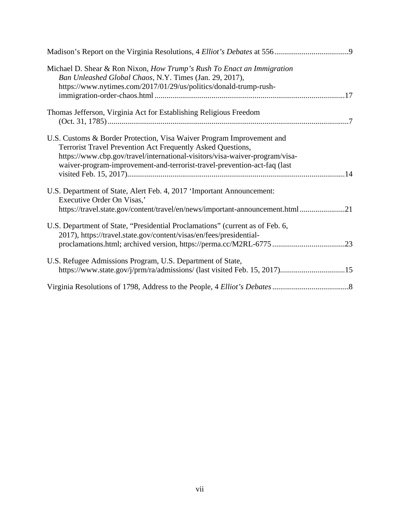| Michael D. Shear & Ron Nixon, How Trump's Rush To Enact an Immigration<br>Ban Unleashed Global Chaos, N.Y. Times (Jan. 29, 2017),<br>https://www.nytimes.com/2017/01/29/us/politics/donald-trump-rush-                                                                                          |
|-------------------------------------------------------------------------------------------------------------------------------------------------------------------------------------------------------------------------------------------------------------------------------------------------|
| Thomas Jefferson, Virginia Act for Establishing Religious Freedom                                                                                                                                                                                                                               |
| U.S. Customs & Border Protection, Visa Waiver Program Improvement and<br>Terrorist Travel Prevention Act Frequently Asked Questions,<br>https://www.cbp.gov/travel/international-visitors/visa-waiver-program/visa-<br>waiver-program-improvement-and-terrorist-travel-prevention-act-faq (last |
| U.S. Department of State, Alert Feb. 4, 2017 'Important Announcement:<br>Executive Order On Visas,'<br>https://travel.state.gov/content/travel/en/news/important-announcement.html 21                                                                                                           |
| U.S. Department of State, "Presidential Proclamations" (current as of Feb. 6,<br>2017), https://travel.state.gov/content/visas/en/fees/presidential-<br>proclamations.html; archived version, https://perma.cc/M2RL-677523                                                                      |
| U.S. Refugee Admissions Program, U.S. Department of State,<br>https://www.state.gov/j/prm/ra/admissions/ (last visited Feb. 15, 2017)15                                                                                                                                                         |
|                                                                                                                                                                                                                                                                                                 |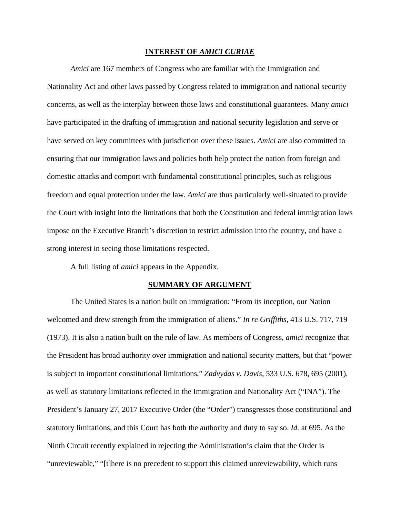#### **INTEREST OF** *AMICI CURIAE*

*Amici* are 167 members of Congress who are familiar with the Immigration and Nationality Act and other laws passed by Congress related to immigration and national security concerns, as well as the interplay between those laws and constitutional guarantees. Many *amici*  have participated in the drafting of immigration and national security legislation and serve or have served on key committees with jurisdiction over these issues. *Amici* are also committed to ensuring that our immigration laws and policies both help protect the nation from foreign and domestic attacks and comport with fundamental constitutional principles, such as religious freedom and equal protection under the law. *Amici* are thus particularly well-situated to provide the Court with insight into the limitations that both the Constitution and federal immigration laws impose on the Executive Branch's discretion to restrict admission into the country, and have a strong interest in seeing those limitations respected.

A full listing of *amici* appears in the Appendix.

#### **SUMMARY OF ARGUMENT**

The United States is a nation built on immigration: "From its inception, our Nation welcomed and drew strength from the immigration of aliens." *In re Griffiths*, 413 U.S. 717, 719 (1973). It is also a nation built on the rule of law. As members of Congress, *amici* recognize that the President has broad authority over immigration and national security matters, but that "power is subject to important constitutional limitations," *Zadvydas v. Davis*, 533 U.S. 678, 695 (2001), as well as statutory limitations reflected in the Immigration and Nationality Act ("INA"). The President's January 27, 2017 Executive Order (the "Order") transgresses those constitutional and statutory limitations, and this Court has both the authority and duty to say so. *Id.* at 695. As the Ninth Circuit recently explained in rejecting the Administration's claim that the Order is "unreviewable," "[t]here is no precedent to support this claimed unreviewability, which runs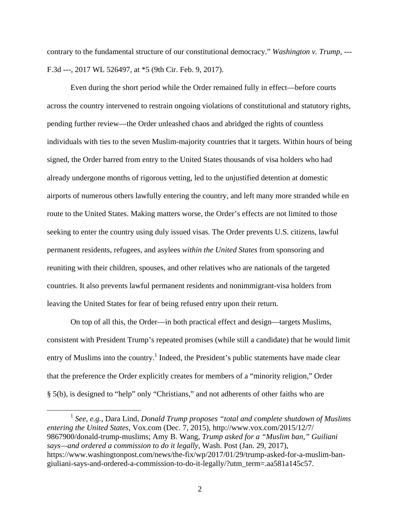contrary to the fundamental structure of our constitutional democracy." *Washington v. Trump*, --- F.3d ---, 2017 WL 526497, at \*5 (9th Cir. Feb. 9, 2017).

Even during the short period while the Order remained fully in effect—before courts across the country intervened to restrain ongoing violations of constitutional and statutory rights, pending further review—the Order unleashed chaos and abridged the rights of countless individuals with ties to the seven Muslim-majority countries that it targets. Within hours of being signed, the Order barred from entry to the United States thousands of visa holders who had already undergone months of rigorous vetting, led to the unjustified detention at domestic airports of numerous others lawfully entering the country, and left many more stranded while en route to the United States. Making matters worse, the Order's effects are not limited to those seeking to enter the country using duly issued visas. The Order prevents U.S. citizens, lawful permanent residents, refugees, and asylees *within the United States* from sponsoring and reuniting with their children, spouses, and other relatives who are nationals of the targeted countries. It also prevents lawful permanent residents and nonimmigrant-visa holders from leaving the United States for fear of being refused entry upon their return.

On top of all this, the Order—in both practical effect and design—targets Muslims, consistent with President Trump's repeated promises (while still a candidate) that he would limit entry of Muslims into the country.<sup>1</sup> Indeed, the President's public statements have made clear that the preference the Order explicitly creates for members of a "minority religion," Order § 5(b), is designed to "help" only "Christians," and not adherents of other faiths who are

 <sup>1</sup> *See, e.g.*, Dara Lind, *Donald Trump proposes "total and complete shutdown of Muslims entering the United States*, Vox.com (Dec. 7, 2015), http://www.vox.com/2015/12/7/ 9867900/donald-trump-muslims; Amy B. Wang, *Trump asked for a "Muslim ban," Guiliani says—and ordered a commission to do it legally*, Wash. Post (Jan. 29, 2017), https://www.washingtonpost.com/news/the-fix/wp/2017/01/29/trump-asked-for-a-muslim-bangiuliani-says-and-ordered-a-commission-to-do-it-legally/?utm\_term=.aa581a145c57.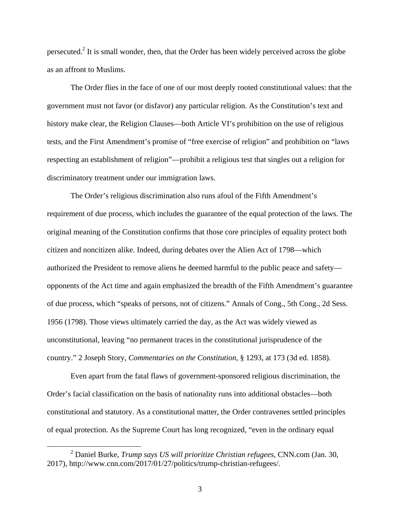persecuted.<sup>2</sup> It is small wonder, then, that the Order has been widely perceived across the globe as an affront to Muslims.

The Order flies in the face of one of our most deeply rooted constitutional values: that the government must not favor (or disfavor) any particular religion. As the Constitution's text and history make clear, the Religion Clauses—both Article VI's prohibition on the use of religious tests, and the First Amendment's promise of "free exercise of religion" and prohibition on "laws respecting an establishment of religion"—prohibit a religious test that singles out a religion for discriminatory treatment under our immigration laws.

The Order's religious discrimination also runs afoul of the Fifth Amendment's requirement of due process, which includes the guarantee of the equal protection of the laws. The original meaning of the Constitution confirms that those core principles of equality protect both citizen and noncitizen alike. Indeed, during debates over the Alien Act of 1798—which authorized the President to remove aliens he deemed harmful to the public peace and safety opponents of the Act time and again emphasized the breadth of the Fifth Amendment's guarantee of due process, which "speaks of persons, not of citizens." Annals of Cong., 5th Cong., 2d Sess. 1956 (1798). Those views ultimately carried the day, as the Act was widely viewed as unconstitutional, leaving "no permanent traces in the constitutional jurisprudence of the country." 2 Joseph Story, *Commentaries on the Constitution*, § 1293, at 173 (3d ed. 1858).

Even apart from the fatal flaws of government-sponsored religious discrimination, the Order's facial classification on the basis of nationality runs into additional obstacles—both constitutional and statutory. As a constitutional matter, the Order contravenes settled principles of equal protection. As the Supreme Court has long recognized, "even in the ordinary equal

 <sup>2</sup> Daniel Burke, *Trump says US will prioritize Christian refugees*, CNN.com (Jan. 30, 2017), http://www.cnn.com/2017/01/27/politics/trump-christian-refugees/.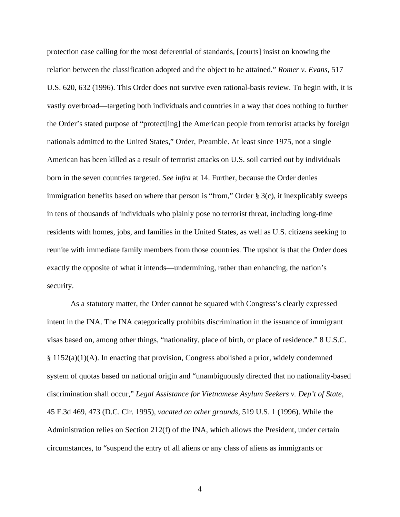protection case calling for the most deferential of standards, [courts] insist on knowing the relation between the classification adopted and the object to be attained." *Romer v. Evans*, 517 U.S. 620, 632 (1996). This Order does not survive even rational-basis review. To begin with, it is vastly overbroad—targeting both individuals and countries in a way that does nothing to further the Order's stated purpose of "protect[ing] the American people from terrorist attacks by foreign nationals admitted to the United States," Order, Preamble. At least since 1975, not a single American has been killed as a result of terrorist attacks on U.S. soil carried out by individuals born in the seven countries targeted. *See infra* at 14. Further, because the Order denies immigration benefits based on where that person is "from," Order § 3(c), it inexplicably sweeps in tens of thousands of individuals who plainly pose no terrorist threat, including long-time residents with homes, jobs, and families in the United States, as well as U.S. citizens seeking to reunite with immediate family members from those countries. The upshot is that the Order does exactly the opposite of what it intends—undermining, rather than enhancing, the nation's security.

As a statutory matter, the Order cannot be squared with Congress's clearly expressed intent in the INA. The INA categorically prohibits discrimination in the issuance of immigrant visas based on, among other things, "nationality, place of birth, or place of residence." 8 U.S.C.  $§$  1152(a)(1)(A). In enacting that provision, Congress abolished a prior, widely condemned system of quotas based on national origin and "unambiguously directed that no nationality-based discrimination shall occur," *Legal Assistance for Vietnamese Asylum Seekers v. Dep't of State*, 45 F.3d 469, 473 (D.C. Cir. 1995), *vacated on other grounds*, 519 U.S. 1 (1996). While the Administration relies on Section 212(f) of the INA, which allows the President, under certain circumstances, to "suspend the entry of all aliens or any class of aliens as immigrants or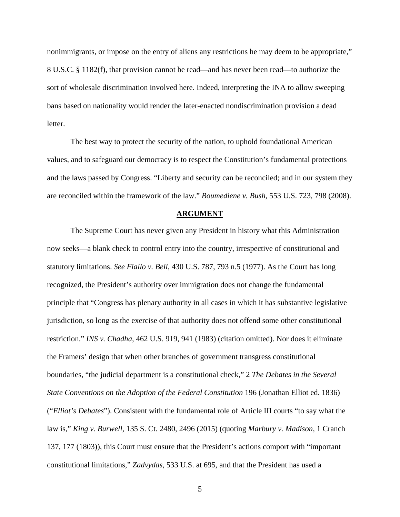nonimmigrants, or impose on the entry of aliens any restrictions he may deem to be appropriate," 8 U.S.C. § 1182(f), that provision cannot be read—and has never been read—to authorize the sort of wholesale discrimination involved here. Indeed, interpreting the INA to allow sweeping bans based on nationality would render the later-enacted nondiscrimination provision a dead letter.

The best way to protect the security of the nation, to uphold foundational American values, and to safeguard our democracy is to respect the Constitution's fundamental protections and the laws passed by Congress. "Liberty and security can be reconciled; and in our system they are reconciled within the framework of the law." *Boumediene v. Bush*, 553 U.S. 723, 798 (2008).

#### **ARGUMENT**

The Supreme Court has never given any President in history what this Administration now seeks—a blank check to control entry into the country, irrespective of constitutional and statutory limitations. *See Fiallo v. Bell*, 430 U.S. 787, 793 n.5 (1977). As the Court has long recognized, the President's authority over immigration does not change the fundamental principle that "Congress has plenary authority in all cases in which it has substantive legislative jurisdiction, so long as the exercise of that authority does not offend some other constitutional restriction." *INS v. Chadha*, 462 U.S. 919, 941 (1983) (citation omitted). Nor does it eliminate the Framers' design that when other branches of government transgress constitutional boundaries, "the judicial department is a constitutional check," 2 *The Debates in the Several State Conventions on the Adoption of the Federal Constitution* 196 (Jonathan Elliot ed. 1836) ("*Elliot's Debates*"). Consistent with the fundamental role of Article III courts "to say what the law is," *King v. Burwell*, 135 S. Ct. 2480, 2496 (2015) (quoting *Marbury v. Madison*, 1 Cranch 137, 177 (1803)), this Court must ensure that the President's actions comport with "important constitutional limitations," *Zadvydas*, 533 U.S. at 695, and that the President has used a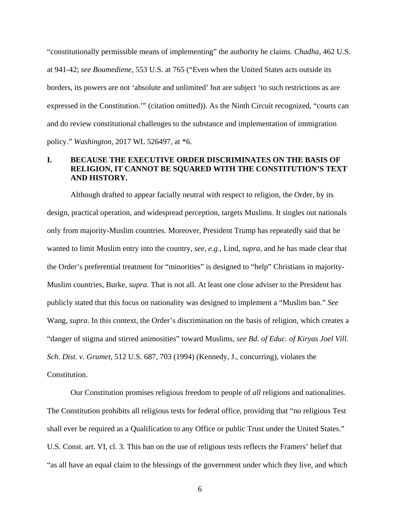"constitutionally permissible means of implementing" the authority he claims. *Chadha*, 462 U.S. at 941-42; *see Boumediene*, 553 U.S. at 765 ("Even when the United States acts outside its borders, its powers are not 'absolute and unlimited' but are subject 'to such restrictions as are expressed in the Constitution.'" (citation omitted)). As the Ninth Circuit recognized, "courts can and do review constitutional challenges to the substance and implementation of immigration policy." *Washington*, 2017 WL 526497, at \*6.

#### **I. BECAUSE THE EXECUTIVE ORDER DISCRIMINATES ON THE BASIS OF RELIGION, IT CANNOT BE SQUARED WITH THE CONSTITUTION'S TEXT AND HISTORY.**

Although drafted to appear facially neutral with respect to religion, the Order, by its design, practical operation, and widespread perception, targets Muslims. It singles out nationals only from majority-Muslim countries. Moreover, President Trump has repeatedly said that he wanted to limit Muslim entry into the country, *see, e.g.*, Lind, *supra*, and he has made clear that the Order's preferential treatment for "minorities" is designed to "help" Christians in majority-Muslim countries, Burke, *supra*. That is not all. At least one close adviser to the President has publicly stated that this focus on nationality was designed to implement a "Muslim ban." *See*  Wang, *supra*. In this context, the Order's discrimination on the basis of religion, which creates a "danger of stigma and stirred animosities" toward Muslims, *see Bd. of Educ. of Kiryas Joel Vill. Sch. Dist. v. Grumet*, 512 U.S. 687, 703 (1994) (Kennedy, J., concurring), violates the Constitution.

Our Constitution promises religious freedom to people of *all* religions and nationalities. The Constitution prohibits all religious tests for federal office, providing that "no religious Test shall ever be required as a Qualification to any Office or public Trust under the United States." U.S. Const. art. VI, cl. 3. This ban on the use of religious tests reflects the Framers' belief that "as all have an equal claim to the blessings of the government under which they live, and which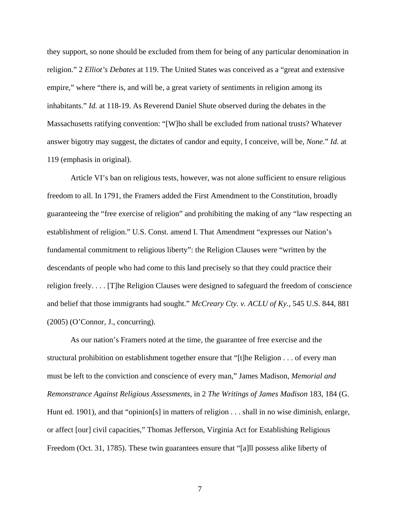they support, so none should be excluded from them for being of any particular denomination in religion." 2 *Elliot's Debates* at 119. The United States was conceived as a "great and extensive empire," where "there is, and will be, a great variety of sentiments in religion among its inhabitants." *Id.* at 118-19. As Reverend Daniel Shute observed during the debates in the Massachusetts ratifying convention: "[W]ho shall be excluded from national trusts? Whatever answer bigotry may suggest, the dictates of candor and equity, I conceive, will be, *None*." *Id.* at 119 (emphasis in original).

Article VI's ban on religious tests, however, was not alone sufficient to ensure religious freedom to all. In 1791, the Framers added the First Amendment to the Constitution, broadly guaranteeing the "free exercise of religion" and prohibiting the making of any "law respecting an establishment of religion." U.S. Const. amend I. That Amendment "expresses our Nation's fundamental commitment to religious liberty": the Religion Clauses were "written by the descendants of people who had come to this land precisely so that they could practice their religion freely. . . . [T]he Religion Clauses were designed to safeguard the freedom of conscience and belief that those immigrants had sought." *McCreary Cty. v. ACLU of Ky.*, 545 U.S. 844, 881 (2005) (O'Connor, J., concurring).

As our nation's Framers noted at the time, the guarantee of free exercise and the structural prohibition on establishment together ensure that "[t]he Religion . . . of every man must be left to the conviction and conscience of every man," James Madison, *Memorial and Remonstrance Against Religious Assessments*, in 2 *The Writings of James Madison* 183, 184 (G. Hunt ed. 1901), and that "opinion[s] in matters of religion . . . shall in no wise diminish, enlarge, or affect [our] civil capacities," Thomas Jefferson, Virginia Act for Establishing Religious Freedom (Oct. 31, 1785). These twin guarantees ensure that "[a] l possess alike liberty of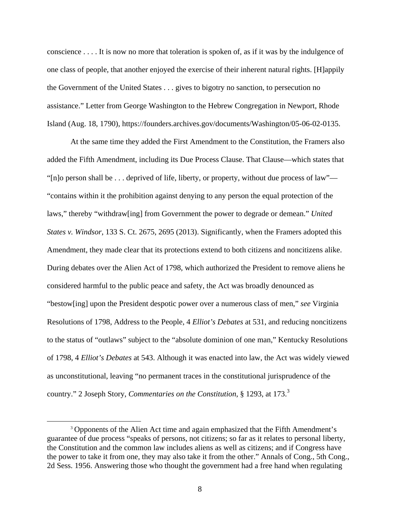conscience . . . . It is now no more that toleration is spoken of, as if it was by the indulgence of one class of people, that another enjoyed the exercise of their inherent natural rights. [H]appily the Government of the United States . . . gives to bigotry no sanction, to persecution no assistance." Letter from George Washington to the Hebrew Congregation in Newport, Rhode Island (Aug. 18, 1790), https://founders.archives.gov/documents/Washington/05-06-02-0135.

At the same time they added the First Amendment to the Constitution, the Framers also added the Fifth Amendment, including its Due Process Clause. That Clause—which states that "[n]o person shall be . . . deprived of life, liberty, or property, without due process of law"— "contains within it the prohibition against denying to any person the equal protection of the laws," thereby "withdraw[ing] from Government the power to degrade or demean." *United States v. Windsor*, 133 S. Ct. 2675, 2695 (2013). Significantly, when the Framers adopted this Amendment, they made clear that its protections extend to both citizens and noncitizens alike. During debates over the Alien Act of 1798, which authorized the President to remove aliens he considered harmful to the public peace and safety, the Act was broadly denounced as "bestow[ing] upon the President despotic power over a numerous class of men," *see* Virginia Resolutions of 1798, Address to the People, 4 *Elliot's Debates* at 531, and reducing noncitizens to the status of "outlaws" subject to the "absolute dominion of one man," Kentucky Resolutions of 1798, 4 *Elliot's Debates* at 543. Although it was enacted into law, the Act was widely viewed as unconstitutional, leaving "no permanent traces in the constitutional jurisprudence of the country." 2 Joseph Story, *Commentaries on the Constitution*, § 1293, at 173.<sup>3</sup>

<sup>&</sup>lt;sup>3</sup> Opponents of the Alien Act time and again emphasized that the Fifth Amendment's guarantee of due process "speaks of persons, not citizens; so far as it relates to personal liberty, the Constitution and the common law includes aliens as well as citizens; and if Congress have the power to take it from one, they may also take it from the other." Annals of Cong., 5th Cong., 2d Sess. 1956. Answering those who thought the government had a free hand when regulating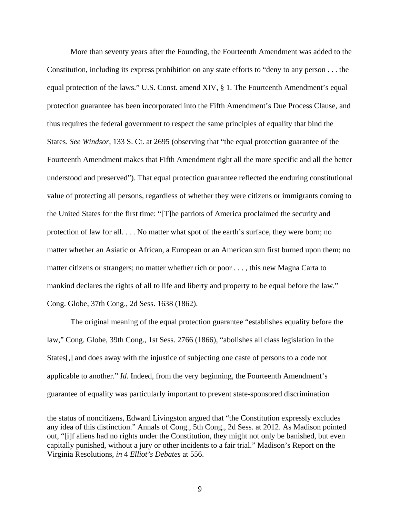More than seventy years after the Founding, the Fourteenth Amendment was added to the Constitution, including its express prohibition on any state efforts to "deny to any person . . . the equal protection of the laws." U.S. Const. amend XIV, § 1. The Fourteenth Amendment's equal protection guarantee has been incorporated into the Fifth Amendment's Due Process Clause, and thus requires the federal government to respect the same principles of equality that bind the States. *See Windsor*, 133 S. Ct. at 2695 (observing that "the equal protection guarantee of the Fourteenth Amendment makes that Fifth Amendment right all the more specific and all the better understood and preserved"). That equal protection guarantee reflected the enduring constitutional value of protecting all persons, regardless of whether they were citizens or immigrants coming to the United States for the first time: "[T]he patriots of America proclaimed the security and protection of law for all. . . . No matter what spot of the earth's surface, they were born; no matter whether an Asiatic or African, a European or an American sun first burned upon them; no matter citizens or strangers; no matter whether rich or poor . . . , this new Magna Carta to mankind declares the rights of all to life and liberty and property to be equal before the law." Cong. Globe, 37th Cong., 2d Sess. 1638 (1862).

The original meaning of the equal protection guarantee "establishes equality before the law," Cong. Globe, 39th Cong., 1st Sess. 2766 (1866), "abolishes all class legislation in the States[,] and does away with the injustice of subjecting one caste of persons to a code not applicable to another." *Id.* Indeed, from the very beginning, the Fourteenth Amendment's guarantee of equality was particularly important to prevent state-sponsored discrimination

the status of noncitizens, Edward Livingston argued that "the Constitution expressly excludes any idea of this distinction." Annals of Cong., 5th Cong., 2d Sess. at 2012. As Madison pointed out, "[i]f aliens had no rights under the Constitution, they might not only be banished, but even capitally punished, without a jury or other incidents to a fair trial." Madison's Report on the Virginia Resolutions, *in* 4 *Elliot's Debates* at 556.

 $\overline{a}$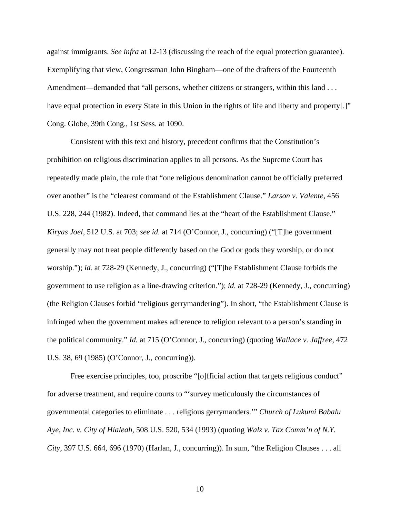against immigrants. *See infra* at 12-13 (discussing the reach of the equal protection guarantee). Exemplifying that view, Congressman John Bingham—one of the drafters of the Fourteenth Amendment—demanded that "all persons, whether citizens or strangers, within this land . . . have equal protection in every State in this Union in the rights of life and liberty and property[.]" Cong. Globe, 39th Cong., 1st Sess. at 1090.

Consistent with this text and history, precedent confirms that the Constitution's prohibition on religious discrimination applies to all persons. As the Supreme Court has repeatedly made plain, the rule that "one religious denomination cannot be officially preferred over another" is the "clearest command of the Establishment Clause." *Larson v. Valente*, 456 U.S. 228, 244 (1982). Indeed, that command lies at the "heart of the Establishment Clause." *Kiryas Joel*, 512 U.S. at 703; *see id.* at 714 (O'Connor, J., concurring) ("[T]he government generally may not treat people differently based on the God or gods they worship, or do not worship."); *id.* at 728-29 (Kennedy, J., concurring) ("[T]he Establishment Clause forbids the government to use religion as a line-drawing criterion."); *id.* at 728-29 (Kennedy, J., concurring) (the Religion Clauses forbid "religious gerrymandering"). In short, "the Establishment Clause is infringed when the government makes adherence to religion relevant to a person's standing in the political community." *Id.* at 715 (O'Connor, J., concurring) (quoting *Wallace v. Jaffree*, 472 U.S. 38, 69 (1985) (O'Connor, J., concurring)).

Free exercise principles, too, proscribe "[o]fficial action that targets religious conduct" for adverse treatment, and require courts to "'survey meticulously the circumstances of governmental categories to eliminate . . . religious gerrymanders.'" *Church of Lukumi Babalu Aye, Inc. v. City of Hialeah,* 508 U.S. 520, 534 (1993) (quoting *Walz v. Tax Comm'n of N.Y. City*, 397 U.S. 664, 696 (1970) (Harlan, J., concurring)). In sum, "the Religion Clauses . . . all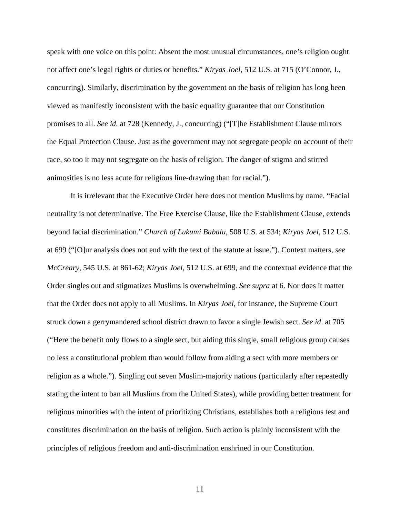speak with one voice on this point: Absent the most unusual circumstances, one's religion ought not affect one's legal rights or duties or benefits." *Kiryas Joel*, 512 U.S. at 715 (O'Connor, J., concurring). Similarly, discrimination by the government on the basis of religion has long been viewed as manifestly inconsistent with the basic equality guarantee that our Constitution promises to all. *See id.* at 728 (Kennedy, J., concurring) ("[T]he Establishment Clause mirrors the Equal Protection Clause. Just as the government may not segregate people on account of their race, so too it may not segregate on the basis of religion. The danger of stigma and stirred animosities is no less acute for religious line-drawing than for racial.").

It is irrelevant that the Executive Order here does not mention Muslims by name. "Facial neutrality is not determinative. The Free Exercise Clause, like the Establishment Clause, extends beyond facial discrimination." *Church of Lukumi Babalu*, 508 U.S. at 534; *Kiryas Joel*, 512 U.S. at 699 ("[O]ur analysis does not end with the text of the statute at issue."). Context matters, *see McCreary*, 545 U.S. at 861-62; *Kiryas Joel*, 512 U.S. at 699, and the contextual evidence that the Order singles out and stigmatizes Muslims is overwhelming. *See supra* at 6. Nor does it matter that the Order does not apply to all Muslims. In *Kiryas Joel*, for instance, the Supreme Court struck down a gerrymandered school district drawn to favor a single Jewish sect. *See id*. at 705 ("Here the benefit only flows to a single sect, but aiding this single, small religious group causes no less a constitutional problem than would follow from aiding a sect with more members or religion as a whole."). Singling out seven Muslim-majority nations (particularly after repeatedly stating the intent to ban all Muslims from the United States), while providing better treatment for religious minorities with the intent of prioritizing Christians, establishes both a religious test and constitutes discrimination on the basis of religion. Such action is plainly inconsistent with the principles of religious freedom and anti-discrimination enshrined in our Constitution.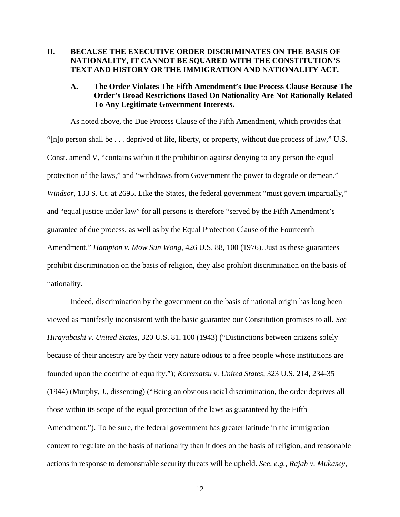#### **II. BECAUSE THE EXECUTIVE ORDER DISCRIMINATES ON THE BASIS OF NATIONALITY, IT CANNOT BE SQUARED WITH THE CONSTITUTION'S TEXT AND HISTORY OR THE IMMIGRATION AND NATIONALITY ACT.**

#### **A. The Order Violates The Fifth Amendment's Due Process Clause Because The Order's Broad Restrictions Based On Nationality Are Not Rationally Related To Any Legitimate Government Interests.**

As noted above, the Due Process Clause of the Fifth Amendment, which provides that "[n]o person shall be . . . deprived of life, liberty, or property, without due process of law," U.S. Const. amend V, "contains within it the prohibition against denying to any person the equal protection of the laws," and "withdraws from Government the power to degrade or demean." *Windsor*, 133 S. Ct. at 2695. Like the States, the federal government "must govern impartially," and "equal justice under law" for all persons is therefore "served by the Fifth Amendment's guarantee of due process, as well as by the Equal Protection Clause of the Fourteenth Amendment." *Hampton v. Mow Sun Wong*, 426 U.S. 88, 100 (1976). Just as these guarantees prohibit discrimination on the basis of religion, they also prohibit discrimination on the basis of nationality.

Indeed, discrimination by the government on the basis of national origin has long been viewed as manifestly inconsistent with the basic guarantee our Constitution promises to all. *See Hirayabashi v. United States*, 320 U.S. 81, 100 (1943) ("Distinctions between citizens solely because of their ancestry are by their very nature odious to a free people whose institutions are founded upon the doctrine of equality."); *Korematsu v. United States*, 323 U.S. 214, 234-35 (1944) (Murphy, J., dissenting) ("Being an obvious racial discrimination, the order deprives all those within its scope of the equal protection of the laws as guaranteed by the Fifth Amendment."). To be sure, the federal government has greater latitude in the immigration context to regulate on the basis of nationality than it does on the basis of religion, and reasonable actions in response to demonstrable security threats will be upheld. *See, e.g.*, *Rajah v. Mukasey*,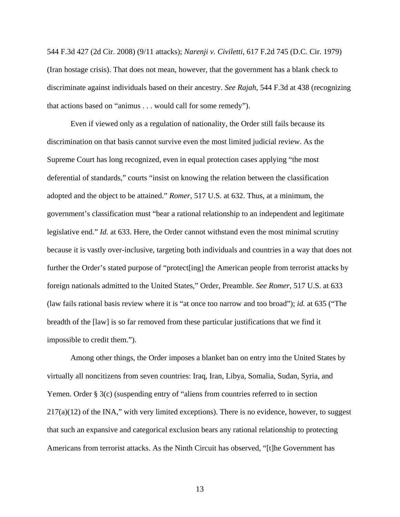544 F.3d 427 (2d Cir. 2008) (9/11 attacks); *Narenji v. Civiletti*, 617 F.2d 745 (D.C. Cir. 1979) (Iran hostage crisis). That does not mean, however, that the government has a blank check to discriminate against individuals based on their ancestry. *See Rajah*, 544 F.3d at 438 (recognizing that actions based on "animus . . . would call for some remedy").

Even if viewed only as a regulation of nationality, the Order still fails because its discrimination on that basis cannot survive even the most limited judicial review. As the Supreme Court has long recognized, even in equal protection cases applying "the most deferential of standards," courts "insist on knowing the relation between the classification adopted and the object to be attained." *Romer*, 517 U.S. at 632. Thus, at a minimum, the government's classification must "bear a rational relationship to an independent and legitimate legislative end." *Id.* at 633. Here, the Order cannot withstand even the most minimal scrutiny because it is vastly over-inclusive, targeting both individuals and countries in a way that does not further the Order's stated purpose of "protect[ing] the American people from terrorist attacks by foreign nationals admitted to the United States," Order, Preamble. *See Romer*, 517 U.S. at 633 (law fails rational basis review where it is "at once too narrow and too broad"); *id.* at 635 ("The breadth of the [law] is so far removed from these particular justifications that we find it impossible to credit them.").

Among other things, the Order imposes a blanket ban on entry into the United States by virtually all noncitizens from seven countries: Iraq, Iran, Libya, Somalia, Sudan, Syria, and Yemen. Order § 3(c) (suspending entry of "aliens from countries referred to in section  $217(a)(12)$  of the INA," with very limited exceptions). There is no evidence, however, to suggest that such an expansive and categorical exclusion bears any rational relationship to protecting Americans from terrorist attacks. As the Ninth Circuit has observed, "[t]he Government has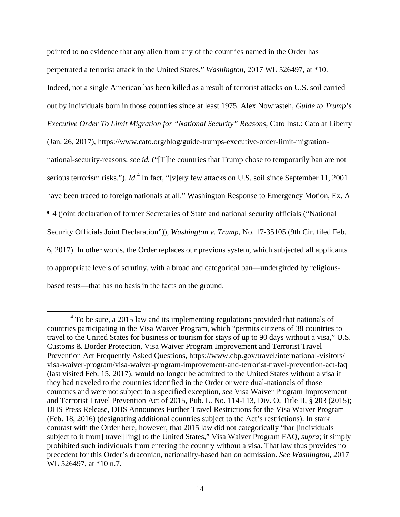pointed to no evidence that any alien from any of the countries named in the Order has perpetrated a terrorist attack in the United States." *Washington*, 2017 WL 526497, at \*10. Indeed, not a single American has been killed as a result of terrorist attacks on U.S. soil carried out by individuals born in those countries since at least 1975. Alex Nowrasteh, *Guide to Trump's Executive Order To Limit Migration for "National Security" Reasons*, Cato Inst.: Cato at Liberty (Jan. 26, 2017), https://www.cato.org/blog/guide-trumps-executive-order-limit-migrationnational-security-reasons; *see id.* ("[T]he countries that Trump chose to temporarily ban are not serious terrorism risks."). *Id*.<sup>4</sup> In fact, "[v]ery few attacks on U.S. soil since September 11, 2001 have been traced to foreign nationals at all." Washington Response to Emergency Motion, Ex. A ¶ 4 (joint declaration of former Secretaries of State and national security officials ("National Security Officials Joint Declaration")), *Washington v. Trump*, No. 17-35105 (9th Cir. filed Feb. 6, 2017). In other words, the Order replaces our previous system, which subjected all applicants to appropriate levels of scrutiny, with a broad and categorical ban—undergirded by religiousbased tests—that has no basis in the facts on the ground.

 $\overline{4}$  $4$  To be sure, a 2015 law and its implementing regulations provided that nationals of countries participating in the Visa Waiver Program, which "permits citizens of 38 countries to travel to the United States for business or tourism for stays of up to 90 days without a visa," U.S. Customs & Border Protection, Visa Waiver Program Improvement and Terrorist Travel Prevention Act Frequently Asked Questions, https://www.cbp.gov/travel/international-visitors/ visa-waiver-program/visa-waiver-program-improvement-and-terrorist-travel-prevention-act-faq (last visited Feb. 15, 2017), would no longer be admitted to the United States without a visa if they had traveled to the countries identified in the Order or were dual-nationals of those countries and were not subject to a specified exception, *see* Visa Waiver Program Improvement and Terrorist Travel Prevention Act of 2015, Pub. L. No. 114-113, Div. O, Title II, § 203 (2015); DHS Press Release, DHS Announces Further Travel Restrictions for the Visa Waiver Program (Feb. 18, 2016) (designating additional countries subject to the Act's restrictions). In stark contrast with the Order here, however, that 2015 law did not categorically "bar [individuals subject to it from] travel[ling] to the United States," Visa Waiver Program FAQ, *supra*; it simply prohibited such individuals from entering the country without a visa. That law thus provides no precedent for this Order's draconian, nationality-based ban on admission. *See Washington*, 2017 WL 526497, at \*10 n.7.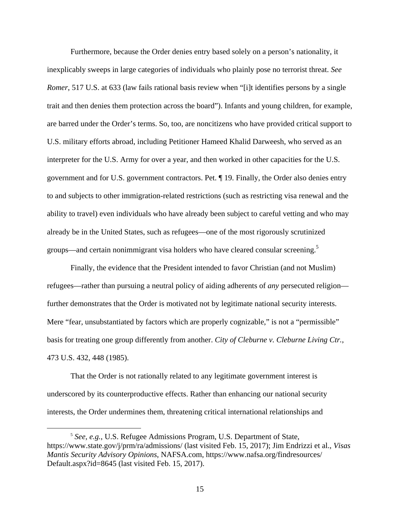Furthermore, because the Order denies entry based solely on a person's nationality, it inexplicably sweeps in large categories of individuals who plainly pose no terrorist threat. *See Romer*, 517 U.S. at 633 (law fails rational basis review when "[i]t identifies persons by a single trait and then denies them protection across the board"). Infants and young children, for example, are barred under the Order's terms. So, too, are noncitizens who have provided critical support to U.S. military efforts abroad, including Petitioner Hameed Khalid Darweesh, who served as an interpreter for the U.S. Army for over a year, and then worked in other capacities for the U.S. government and for U.S. government contractors. Pet. ¶ 19. Finally, the Order also denies entry to and subjects to other immigration-related restrictions (such as restricting visa renewal and the ability to travel) even individuals who have already been subject to careful vetting and who may already be in the United States, such as refugees—one of the most rigorously scrutinized groups—and certain nonimmigrant visa holders who have cleared consular screening.<sup>5</sup>

Finally, the evidence that the President intended to favor Christian (and not Muslim) refugees—rather than pursuing a neutral policy of aiding adherents of *any* persecuted religion further demonstrates that the Order is motivated not by legitimate national security interests. Mere "fear, unsubstantiated by factors which are properly cognizable," is not a "permissible" basis for treating one group differently from another. *City of Cleburne v. Cleburne Living Ctr.*, 473 U.S. 432, 448 (1985).

That the Order is not rationally related to any legitimate government interest is underscored by its counterproductive effects. Rather than enhancing our national security interests, the Order undermines them, threatening critical international relationships and

 <sup>5</sup> *See, e.g.*, U.S. Refugee Admissions Program, U.S. Department of State, https://www.state.gov/j/prm/ra/admissions/ (last visited Feb. 15, 2017); Jim Endrizzi et al., *Visas Mantis Security Advisory Opinions*, NAFSA.com, https://www.nafsa.org/findresources/ Default.aspx?id=8645 (last visited Feb. 15, 2017).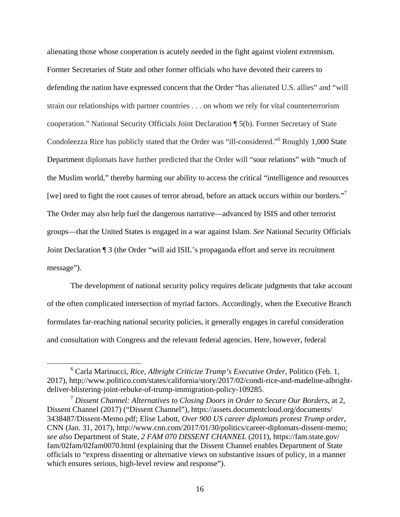alienating those whose cooperation is acutely needed in the fight against violent extremism. Former Secretaries of State and other former officials who have devoted their careers to defending the nation have expressed concern that the Order "has alienated U.S. allies" and "will strain our relationships with partner countries . . . on whom we rely for vital counterterrorism cooperation." National Security Officials Joint Declaration ¶ 5(b). Former Secretary of State Condoleezza Rice has publicly stated that the Order was "ill-considered."6 Roughly 1,000 State Department diplomats have further predicted that the Order will "sour relations" with "much of the Muslim world," thereby harming our ability to access the critical "intelligence and resources [we] need to fight the root causes of terror abroad, before an attack occurs within our borders."<sup>7</sup> The Order may also help fuel the dangerous narrative—advanced by ISIS and other terrorist groups—that the United States is engaged in a war against Islam. *See* National Security Officials Joint Declaration ¶ 3 (the Order "will aid ISIL's propaganda effort and serve its recruitment message").

The development of national security policy requires delicate judgments that take account of the often complicated intersection of myriad factors. Accordingly, when the Executive Branch formulates far-reaching national security policies, it generally engages in careful consideration and consultation with Congress and the relevant federal agencies. Here, however, federal

 $\begin{array}{c|c}\n\hline\n\end{array}$  Carla Marinucci, *Rice, Albright Criticize Trump's Executive Order*, Politico (Feb. 1, 2017), http://www.politico.com/states/california/story/2017/02/condi-rice-and-madeline-albrightdeliver-blistering-joint-rebuke-of-trump-immigration-policy-109285.

<sup>7</sup> *Dissent Channel: Alternatives to Closing Doors in Order to Secure Our Borders*, at 2, Dissent Channel (2017) ("Dissent Channel"), https://assets.documentcloud.org/documents/ 3438487/Dissent-Memo.pdf; Elise Labott, *Over 900 US career diplomats protest Trump order*, CNN (Jan. 31, 2017), http://www.cnn.com/2017/01/30/politics/career-diplomats-dissent-memo; *see also* Department of State, *2 FAM 070 DISSENT CHANNEL* (2011), https://fam.state.gov/ fam/02fam/02fam0070.html (explaining that the Dissent Channel enables Department of State officials to "express dissenting or alternative views on substantive issues of policy, in a manner which ensures serious, high-level review and response").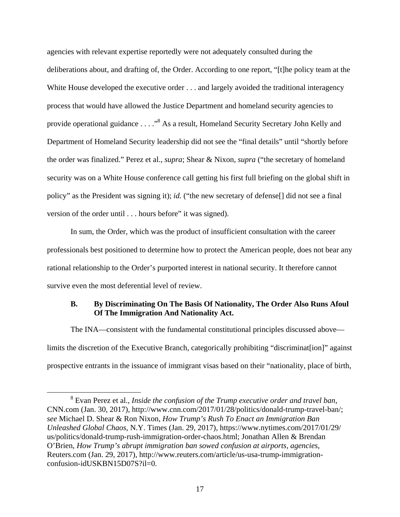agencies with relevant expertise reportedly were not adequately consulted during the deliberations about, and drafting of, the Order. According to one report, "[t]he policy team at the White House developed the executive order . . . and largely avoided the traditional interagency process that would have allowed the Justice Department and homeland security agencies to provide operational guidance . . . ."<sup>8</sup> As a result, Homeland Security Secretary John Kelly and Department of Homeland Security leadership did not see the "final details" until "shortly before the order was finalized." Perez et al., *supra*; Shear & Nixon, *supra* ("the secretary of homeland security was on a White House conference call getting his first full briefing on the global shift in policy" as the President was signing it); *id.* ("the new secretary of defense[] did not see a final version of the order until . . . hours before" it was signed).

In sum, the Order, which was the product of insufficient consultation with the career professionals best positioned to determine how to protect the American people, does not bear any rational relationship to the Order's purported interest in national security. It therefore cannot survive even the most deferential level of review.

#### **B. By Discriminating On The Basis Of Nationality, The Order Also Runs Afoul Of The Immigration And Nationality Act.**

The INA—consistent with the fundamental constitutional principles discussed above limits the discretion of the Executive Branch, categorically prohibiting "discriminat[ion]" against prospective entrants in the issuance of immigrant visas based on their "nationality, place of birth,

 <sup>8</sup> Evan Perez et al., *Inside the confusion of the Trump executive order and travel ban*, CNN.com (Jan. 30, 2017), http://www.cnn.com/2017/01/28/politics/donald-trump-travel-ban/; *see* Michael D. Shear & Ron Nixon, *How Trump's Rush To Enact an Immigration Ban Unleashed Global Chaos*, N.Y. Times (Jan. 29, 2017), https://www.nytimes.com/2017/01/29/ us/politics/donald-trump-rush-immigration-order-chaos.html; Jonathan Allen & Brendan O'Brien, *How Trump's abrupt immigration ban sowed confusion at airports, agencies*, Reuters.com (Jan. 29, 2017), http://www.reuters.com/article/us-usa-trump-immigrationconfusion-idUSKBN15D07S?il=0.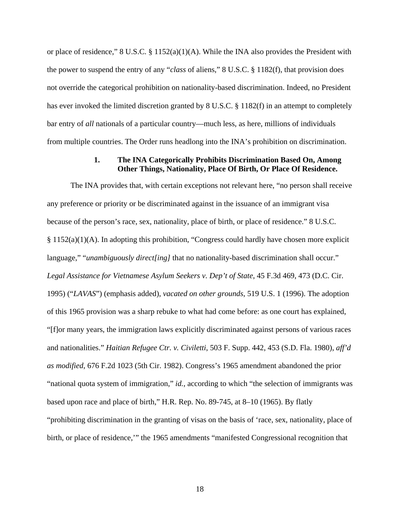or place of residence," 8 U.S.C. § 1152(a)(1)(A). While the INA also provides the President with the power to suspend the entry of any "*class* of aliens," 8 U.S.C. § 1182(f), that provision does not override the categorical prohibition on nationality-based discrimination. Indeed, no President has ever invoked the limited discretion granted by 8 U.S.C. § 1182(f) in an attempt to completely bar entry of *all* nationals of a particular country—much less, as here, millions of individuals from multiple countries. The Order runs headlong into the INA's prohibition on discrimination.

#### **1. The INA Categorically Prohibits Discrimination Based On, Among Other Things, Nationality, Place Of Birth, Or Place Of Residence.**

The INA provides that, with certain exceptions not relevant here, "no person shall receive any preference or priority or be discriminated against in the issuance of an immigrant visa because of the person's race, sex, nationality, place of birth, or place of residence." 8 U.S.C.  $§ 1152(a)(1)(A)$ . In adopting this prohibition, "Congress could hardly have chosen more explicit language," "*unambiguously direct[ing]* that no nationality-based discrimination shall occur." *Legal Assistance for Vietnamese Asylum Seekers v. Dep't of State*, 45 F.3d 469, 473 (D.C. Cir. 1995) ("*LAVAS*") (emphasis added), *vacated on other grounds*, 519 U.S. 1 (1996). The adoption of this 1965 provision was a sharp rebuke to what had come before: as one court has explained, "[f]or many years, the immigration laws explicitly discriminated against persons of various races and nationalities." *Haitian Refugee Ctr. v. Civiletti*, 503 F. Supp. 442, 453 (S.D. Fla. 1980), *aff'd as modified*, 676 F.2d 1023 (5th Cir. 1982). Congress's 1965 amendment abandoned the prior "national quota system of immigration," *id.*, according to which "the selection of immigrants was based upon race and place of birth," H.R. Rep. No. 89-745, at 8–10 (1965). By flatly "prohibiting discrimination in the granting of visas on the basis of 'race, sex, nationality, place of birth, or place of residence,'" the 1965 amendments "manifested Congressional recognition that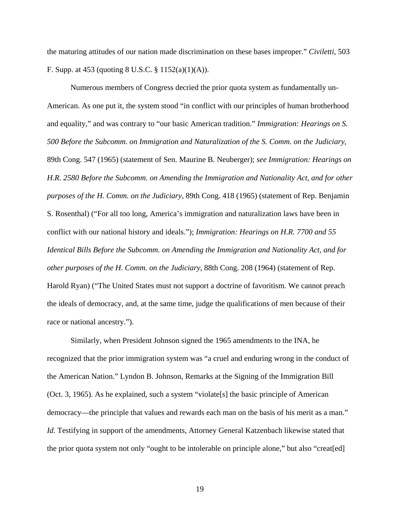the maturing attitudes of our nation made discrimination on these bases improper." *Civiletti*, 503 F. Supp. at 453 (quoting 8 U.S.C. § 1152(a)(1)(A)).

Numerous members of Congress decried the prior quota system as fundamentally un-American. As one put it, the system stood "in conflict with our principles of human brotherhood and equality," and was contrary to "our basic American tradition." *Immigration: Hearings on S. 500 Before the Subcomm. on Immigration and Naturalization of the S. Comm. on the Judiciary*, 89th Cong. 547 (1965) (statement of Sen. Maurine B. Neuberger); *see Immigration: Hearings on H.R. 2580 Before the Subcomm. on Amending the Immigration and Nationality Act, and for other purposes of the H. Comm. on the Judiciary*, 89th Cong. 418 (1965) (statement of Rep. Benjamin S. Rosenthal) ("For all too long, America's immigration and naturalization laws have been in conflict with our national history and ideals."); *Immigration: Hearings on H.R. 7700 and 55 Identical Bills Before the Subcomm. on Amending the Immigration and Nationality Act, and for other purposes of the H. Comm. on the Judiciary*, 88th Cong. 208 (1964) (statement of Rep. Harold Ryan) ("The United States must not support a doctrine of favoritism. We cannot preach the ideals of democracy, and, at the same time, judge the qualifications of men because of their race or national ancestry.").

Similarly, when President Johnson signed the 1965 amendments to the INA, he recognized that the prior immigration system was "a cruel and enduring wrong in the conduct of the American Nation." Lyndon B. Johnson, Remarks at the Signing of the Immigration Bill (Oct. 3, 1965). As he explained, such a system "violate[s] the basic principle of American democracy—the principle that values and rewards each man on the basis of his merit as a man." *Id.* Testifying in support of the amendments, Attorney General Katzenbach likewise stated that the prior quota system not only "ought to be intolerable on principle alone," but also "creat[ed]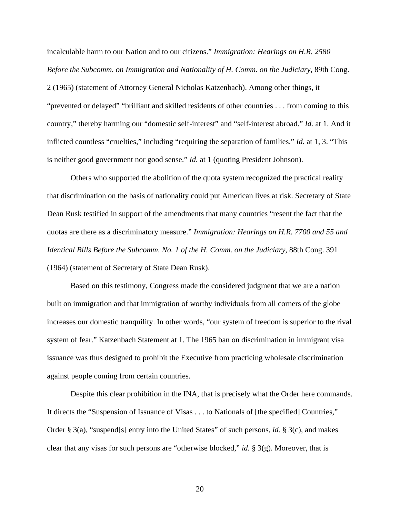incalculable harm to our Nation and to our citizens." *Immigration: Hearings on H.R. 2580 Before the Subcomm. on Immigration and Nationality of H. Comm. on the Judiciary*, 89th Cong. 2 (1965) (statement of Attorney General Nicholas Katzenbach). Among other things, it "prevented or delayed" "brilliant and skilled residents of other countries . . . from coming to this country," thereby harming our "domestic self-interest" and "self-interest abroad." *Id.* at 1. And it inflicted countless "cruelties," including "requiring the separation of families." *Id.* at 1, 3. "This is neither good government nor good sense." *Id.* at 1 (quoting President Johnson).

Others who supported the abolition of the quota system recognized the practical reality that discrimination on the basis of nationality could put American lives at risk. Secretary of State Dean Rusk testified in support of the amendments that many countries "resent the fact that the quotas are there as a discriminatory measure." *Immigration: Hearings on H.R. 7700 and 55 and Identical Bills Before the Subcomm. No. 1 of the H. Comm. on the Judiciary*, 88th Cong. 391 (1964) (statement of Secretary of State Dean Rusk).

Based on this testimony, Congress made the considered judgment that we are a nation built on immigration and that immigration of worthy individuals from all corners of the globe increases our domestic tranquility. In other words, "our system of freedom is superior to the rival system of fear." Katzenbach Statement at 1. The 1965 ban on discrimination in immigrant visa issuance was thus designed to prohibit the Executive from practicing wholesale discrimination against people coming from certain countries.

Despite this clear prohibition in the INA, that is precisely what the Order here commands. It directs the "Suspension of Issuance of Visas . . . to Nationals of [the specified] Countries," Order § 3(a), "suspend[s] entry into the United States" of such persons, *id.* § 3(c), and makes clear that any visas for such persons are "otherwise blocked," *id.* § 3(g). Moreover, that is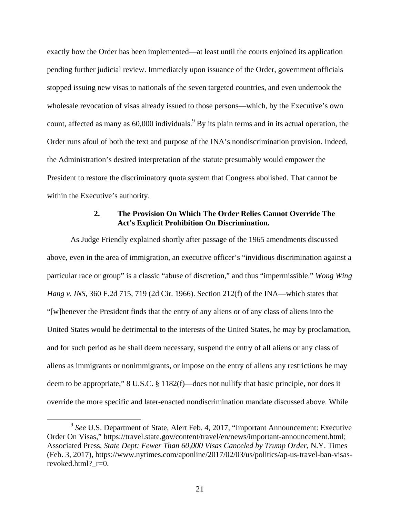exactly how the Order has been implemented—at least until the courts enjoined its application pending further judicial review. Immediately upon issuance of the Order, government officials stopped issuing new visas to nationals of the seven targeted countries, and even undertook the wholesale revocation of visas already issued to those persons—which, by the Executive's own count, affected as many as  $60,000$  individuals.<sup>9</sup> By its plain terms and in its actual operation, the Order runs afoul of both the text and purpose of the INA's nondiscrimination provision. Indeed, the Administration's desired interpretation of the statute presumably would empower the President to restore the discriminatory quota system that Congress abolished. That cannot be within the Executive's authority.

#### **2. The Provision On Which The Order Relies Cannot Override The Act's Explicit Prohibition On Discrimination.**

As Judge Friendly explained shortly after passage of the 1965 amendments discussed above, even in the area of immigration, an executive officer's "invidious discrimination against a particular race or group" is a classic "abuse of discretion," and thus "impermissible." *Wong Wing Hang v. INS*, 360 F.2d 715, 719 (2d Cir. 1966). Section 212(f) of the INA—which states that "[w]henever the President finds that the entry of any aliens or of any class of aliens into the United States would be detrimental to the interests of the United States, he may by proclamation, and for such period as he shall deem necessary, suspend the entry of all aliens or any class of aliens as immigrants or nonimmigrants, or impose on the entry of aliens any restrictions he may deem to be appropriate," 8 U.S.C. § 1182(f)—does not nullify that basic principle, nor does it override the more specific and later-enacted nondiscrimination mandate discussed above. While

 <sup>9</sup> *See* U.S. Department of State, Alert Feb. 4, 2017, "Important Announcement: Executive Order On Visas," https://travel.state.gov/content/travel/en/news/important-announcement.html; Associated Press, *State Dept: Fewer Than 60,000 Visas Canceled by Trump Order*, N.Y. Times (Feb. 3, 2017), https://www.nytimes.com/aponline/2017/02/03/us/politics/ap-us-travel-ban-visasrevoked.html? r=0.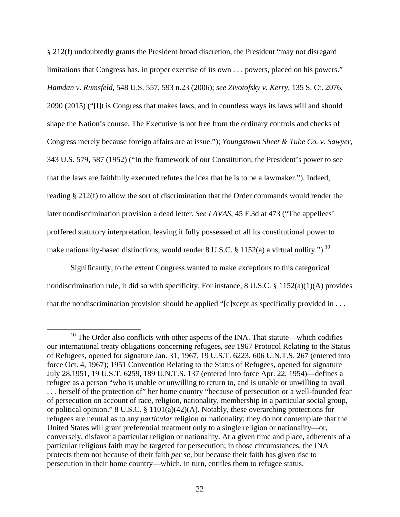§ 212(f) undoubtedly grants the President broad discretion, the President "may not disregard limitations that Congress has, in proper exercise of its own . . . powers, placed on his powers." *Hamdan v. Rumsfeld*, 548 U.S. 557, 593 n.23 (2006); *see Zivotofsky v. Kerry*, 135 S. Ct. 2076, 2090 (2015) ("[I]t is Congress that makes laws, and in countless ways its laws will and should shape the Nation's course. The Executive is not free from the ordinary controls and checks of Congress merely because foreign affairs are at issue."); *Youngstown Sheet & Tube Co. v. Sawyer*, 343 U.S. 579, 587 (1952) ("In the framework of our Constitution, the President's power to see that the laws are faithfully executed refutes the idea that he is to be a lawmaker."). Indeed, reading § 212(f) to allow the sort of discrimination that the Order commands would render the later nondiscrimination provision a dead letter. *See LAVAS*, 45 F.3d at 473 ("The appellees' proffered statutory interpretation, leaving it fully possessed of all its constitutional power to make nationality-based distinctions, would render 8 U.S.C. § 1152(a) a virtual nullity.").<sup>10</sup>

Significantly, to the extent Congress wanted to make exceptions to this categorical nondiscrimination rule, it did so with specificity. For instance, 8 U.S.C. § 1152(a)(1)(A) provides that the nondiscrimination provision should be applied "[e]xcept as specifically provided in . . .

 $10$  The Order also conflicts with other aspects of the INA. That statute—which codifies our international treaty obligations concerning refugees, *see* 1967 Protocol Relating to the Status of Refugees, opened for signature Jan. 31, 1967, 19 U.S.T. 6223, 606 U.N.T.S. 267 (entered into force Oct. 4, 1967); 1951 Convention Relating to the Status of Refugees, opened for signature July 28,1951, 19 U.S.T. 6259, 189 U.N.T.S. 137 (entered into force Apr. 22, 1954)—defines a refugee as a person "who is unable or unwilling to return to, and is unable or unwilling to avail . . . herself of the protection of" her home country "because of persecution or a well-founded fear of persecution on account of race, religion, nationality, membership in a particular social group, or political opinion." 8 U.S.C. § 1101(a)(42)(A). Notably, these overarching protections for refugees are neutral as to any *particular* religion or nationality; they do not contemplate that the United States will grant preferential treatment only to a single religion or nationality—or, conversely, disfavor a particular religion or nationality. At a given time and place, adherents of a particular religious faith may be targeted for persecution; in those circumstances, the INA protects them not because of their faith *per se*, but because their faith has given rise to persecution in their home country—which, in turn, entitles them to refugee status.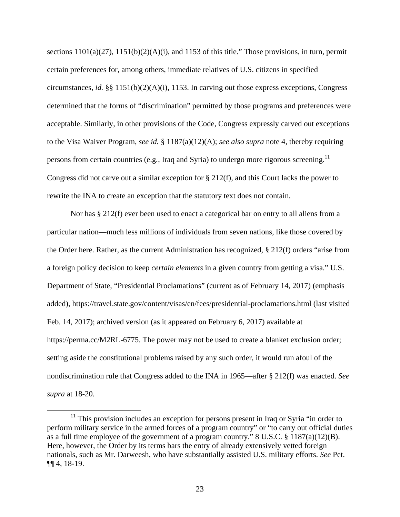sections  $1101(a)(27)$ ,  $1151(b)(2)(A)(i)$ , and 1153 of this title." Those provisions, in turn, permit certain preferences for, among others, immediate relatives of U.S. citizens in specified circumstances, *id.* §§ 1151(b)(2)(A)(i), 1153. In carving out those express exceptions, Congress determined that the forms of "discrimination" permitted by those programs and preferences were acceptable. Similarly, in other provisions of the Code, Congress expressly carved out exceptions to the Visa Waiver Program, *see id.* § 1187(a)(12)(A); *see also supra* note 4, thereby requiring persons from certain countries (e.g*.*, Iraq and Syria) to undergo more rigorous screening.11 Congress did not carve out a similar exception for  $\S 212(f)$ , and this Court lacks the power to rewrite the INA to create an exception that the statutory text does not contain.

Nor has § 212(f) ever been used to enact a categorical bar on entry to all aliens from a particular nation—much less millions of individuals from seven nations, like those covered by the Order here. Rather, as the current Administration has recognized, § 212(f) orders "arise from a foreign policy decision to keep *certain elements* in a given country from getting a visa." U.S. Department of State, "Presidential Proclamations" (current as of February 14, 2017) (emphasis added), https://travel.state.gov/content/visas/en/fees/presidential-proclamations.html (last visited Feb. 14, 2017); archived version (as it appeared on February 6, 2017) available at https://perma.cc/M2RL-6775. The power may not be used to create a blanket exclusion order; setting aside the constitutional problems raised by any such order, it would run afoul of the nondiscrimination rule that Congress added to the INA in 1965—after § 212(f) was enacted. *See supra* at 18-20.

 $11$  This provision includes an exception for persons present in Iraq or Syria "in order to perform military service in the armed forces of a program country" or "to carry out official duties as a full time employee of the government of a program country." 8 U.S.C. § 1187(a)(12)(B). Here, however, the Order by its terms bars the entry of already extensively vetted foreign nationals, such as Mr. Darweesh, who have substantially assisted U.S. military efforts. *See* Pet. ¶¶ 4, 18-19.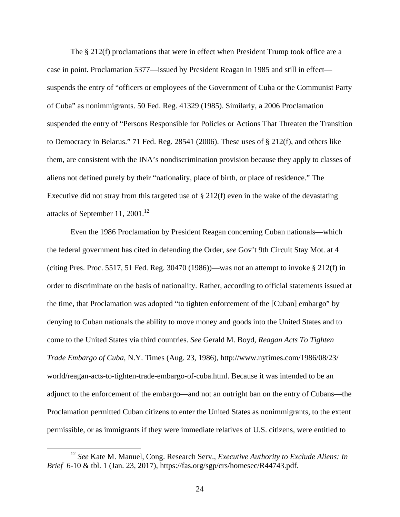The § 212(f) proclamations that were in effect when President Trump took office are a case in point. Proclamation 5377—issued by President Reagan in 1985 and still in effect suspends the entry of "officers or employees of the Government of Cuba or the Communist Party of Cuba" as nonimmigrants. 50 Fed. Reg. 41329 (1985). Similarly, a 2006 Proclamation suspended the entry of "Persons Responsible for Policies or Actions That Threaten the Transition to Democracy in Belarus." 71 Fed. Reg. 28541 (2006). These uses of § 212(f), and others like them, are consistent with the INA's nondiscrimination provision because they apply to classes of aliens not defined purely by their "nationality, place of birth, or place of residence." The Executive did not stray from this targeted use of § 212(f) even in the wake of the devastating attacks of September 11, 2001.<sup>12</sup>

Even the 1986 Proclamation by President Reagan concerning Cuban nationals—which the federal government has cited in defending the Order, *see* Gov't 9th Circuit Stay Mot. at 4 (citing Pres. Proc. 5517, 51 Fed. Reg. 30470 (1986))—was not an attempt to invoke  $\S 212(f)$  in order to discriminate on the basis of nationality. Rather, according to official statements issued at the time, that Proclamation was adopted "to tighten enforcement of the [Cuban] embargo" by denying to Cuban nationals the ability to move money and goods into the United States and to come to the United States via third countries. *See* Gerald M. Boyd, *Reagan Acts To Tighten Trade Embargo of Cuba*, N.Y. Times (Aug. 23, 1986), http://www.nytimes.com/1986/08/23/ world/reagan-acts-to-tighten-trade-embargo-of-cuba.html. Because it was intended to be an adjunct to the enforcement of the embargo—and not an outright ban on the entry of Cubans—the Proclamation permitted Cuban citizens to enter the United States as nonimmigrants, to the extent permissible, or as immigrants if they were immediate relatives of U.S. citizens, were entitled to

 <sup>12</sup> *See* Kate M. Manuel, Cong. Research Serv., *Executive Authority to Exclude Aliens: In Brief* 6-10 & tbl. 1 (Jan. 23, 2017), https://fas.org/sgp/crs/homesec/R44743.pdf.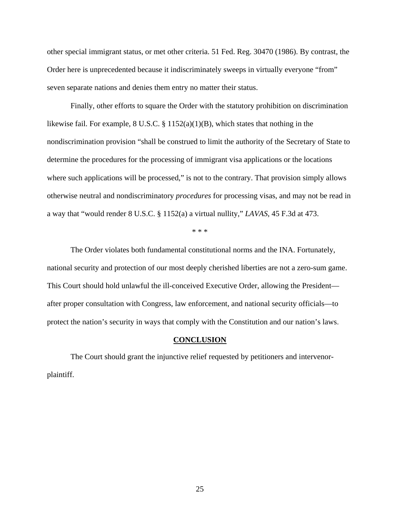other special immigrant status, or met other criteria. 51 Fed. Reg. 30470 (1986). By contrast, the Order here is unprecedented because it indiscriminately sweeps in virtually everyone "from" seven separate nations and denies them entry no matter their status.

Finally, other efforts to square the Order with the statutory prohibition on discrimination likewise fail. For example, 8 U.S.C. § 1152(a)(1)(B), which states that nothing in the nondiscrimination provision "shall be construed to limit the authority of the Secretary of State to determine the procedures for the processing of immigrant visa applications or the locations where such applications will be processed," is not to the contrary. That provision simply allows otherwise neutral and nondiscriminatory *procedures* for processing visas, and may not be read in a way that "would render 8 U.S.C. § 1152(a) a virtual nullity," *LAVAS*, 45 F.3d at 473.

\* \* \*

The Order violates both fundamental constitutional norms and the INA. Fortunately, national security and protection of our most deeply cherished liberties are not a zero-sum game. This Court should hold unlawful the ill-conceived Executive Order, allowing the President after proper consultation with Congress, law enforcement, and national security officials—to protect the nation's security in ways that comply with the Constitution and our nation's laws.

#### **CONCLUSION**

The Court should grant the injunctive relief requested by petitioners and intervenorplaintiff.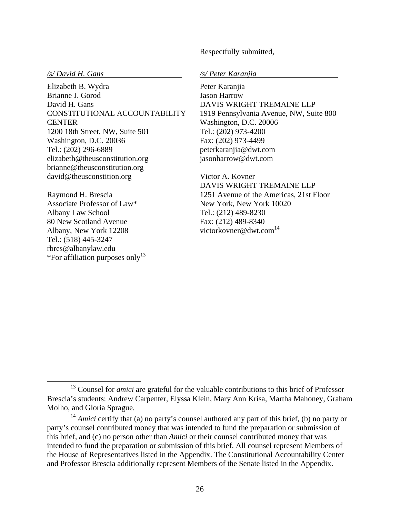Respectfully submitted,

Elizabeth B. Wydra Brianne J. Gorod David H. Gans CONSTITUTIONAL ACCOUNTABILITY **CENTER** 1200 18th Street, NW, Suite 501 Washington, D.C. 20036 Tel.: (202) 296-6889 elizabeth@theusconstitution.org brianne@theusconstitution.org david@theusconstition.org

Raymond H. Brescia Associate Professor of Law\* Albany Law School 80 New Scotland Avenue Albany, New York 12208 Tel.: (518) 445-3247 rbres@albanylaw.edu \*For affiliation purposes only<sup>13</sup>

*/s/ David H. Gans /s/ Peter Karanjia* 

Peter Karanjia Jason Harrow DAVIS WRIGHT TREMAINE LLP 1919 Pennsylvania Avenue, NW, Suite 800 Washington, D.C. 20006 Tel.: (202) 973-4200 Fax: (202) 973-4499 peterkaranjia@dwt.com jasonharrow@dwt.com

Victor A. Kovner DAVIS WRIGHT TREMAINE LLP 1251 Avenue of the Americas, 21st Floor New York, New York 10020 Tel.: (212) 489-8230 Fax: (212) 489-8340 victorkovner@dwt.com<sup>14</sup>

<sup>&</sup>lt;sup>13</sup> Counsel for *amici* are grateful for the valuable contributions to this brief of Professor Brescia's students: Andrew Carpenter, Elyssa Klein, Mary Ann Krisa, Martha Mahoney, Graham Molho, and Gloria Sprague.

<sup>&</sup>lt;sup>14</sup> *Amici* certify that (a) no party's counsel authored any part of this brief, (b) no party or party's counsel contributed money that was intended to fund the preparation or submission of this brief, and (c) no person other than *Amici* or their counsel contributed money that was intended to fund the preparation or submission of this brief. All counsel represent Members of the House of Representatives listed in the Appendix. The Constitutional Accountability Center and Professor Brescia additionally represent Members of the Senate listed in the Appendix.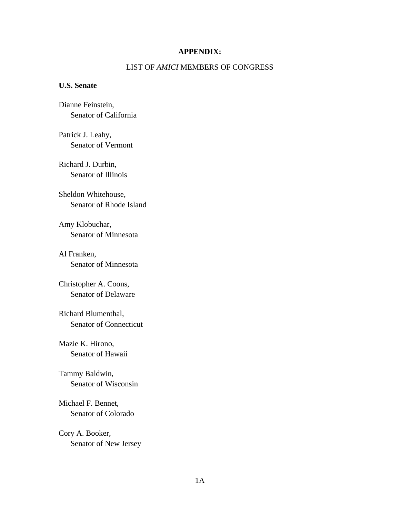#### **APPENDIX:**

#### LIST OF *AMICI* MEMBERS OF CONGRESS

#### **U.S. Senate**

Dianne Feinstein, Senator of California

Patrick J. Leahy, Senator of Vermont

Richard J. Durbin, Senator of Illinois

Sheldon Whitehouse, Senator of Rhode Island

Amy Klobuchar, Senator of Minnesota

Al Franken, Senator of Minnesota

Christopher A. Coons, Senator of Delaware

Richard Blumenthal, Senator of Connecticut

Mazie K. Hirono, Senator of Hawaii

Tammy Baldwin, Senator of Wisconsin

Michael F. Bennet, Senator of Colorado

Cory A. Booker, Senator of New Jersey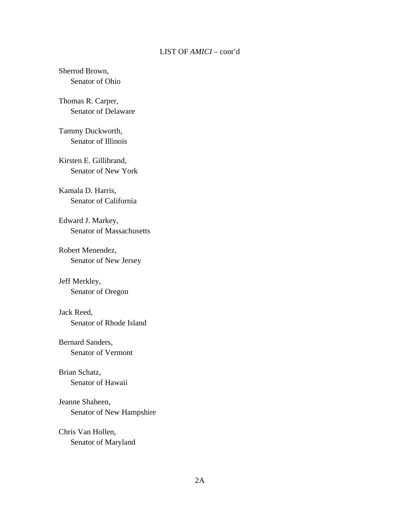#### Sherrod Brown, Senator of Ohio

# Thomas R. Carper, Senator of Delaware

Tammy Duckworth, Senator of Illinois

Kirsten E. Gillibrand, Senator of New York

Kamala D. Harris, Senator of California

Edward J. Markey, Senator of Massachusetts

Robert Menendez, Senator of New Jersey

Jeff Merkley, Senator of Oregon

#### Jack Reed,

Senator of Rhode Island

#### Bernard Sanders,

Senator of Vermont

# Brian Schatz,

Senator of Hawaii

# Jeanne Shaheen, Senator of New Hampshire

# Chris Van Hollen, Senator of Maryland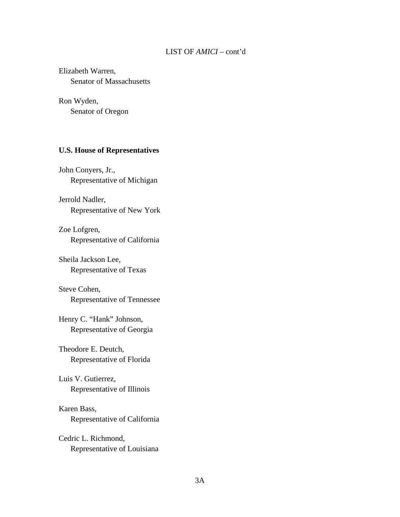# Elizabeth Warren, Senator of Massachusetts

Ron Wyden, Senator of Oregon

#### **U.S. House of Representatives**

John Conyers, Jr., Representative of Michigan

Jerrold Nadler, Representative of New York

Zoe Lofgren, Representative of California

Sheila Jackson Lee, Representative of Texas

Steve Cohen, Representative of Tennessee

Henry C. "Hank" Johnson, Representative of Georgia

Theodore E. Deutch, Representative of Florida

# Luis V. Gutierrez, Representative of Illinois

# Karen Bass, Representative of California

Cedric L. Richmond, Representative of Louisiana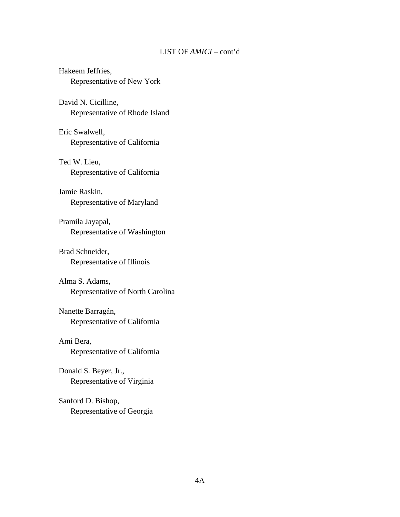Hakeem Jeffries, Representative of New York

David N. Cicilline, Representative of Rhode Island

Eric Swalwell, Representative of California

Ted W. Lieu, Representative of California

Jamie Raskin, Representative of Maryland

Pramila Jayapal, Representative of Washington

Brad Schneider, Representative of Illinois

Alma S. Adams, Representative of North Carolina

Nanette Barragán, Representative of California

Ami Bera, Representative of California

Donald S. Beyer, Jr., Representative of Virginia

Sanford D. Bishop, Representative of Georgia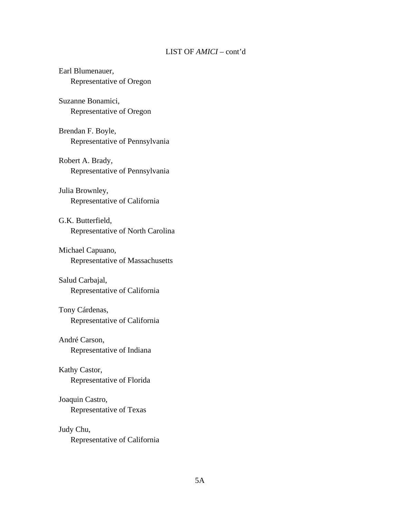# Earl Blumenauer, Representative of Oregon

Suzanne Bonamici, Representative of Oregon

Brendan F. Boyle, Representative of Pennsylvania

Robert A. Brady, Representative of Pennsylvania

# Julia Brownley, Representative of California

G.K. Butterfield, Representative of North Carolina

### Michael Capuano, Representative of Massachusetts

### Salud Carbajal, Representative of California

# Tony Cárdenas, Representative of California

#### André Carson,

Representative of Indiana

#### Kathy Castor,

Representative of Florida

#### Joaquin Castro,

Representative of Texas

#### Judy Chu,

Representative of California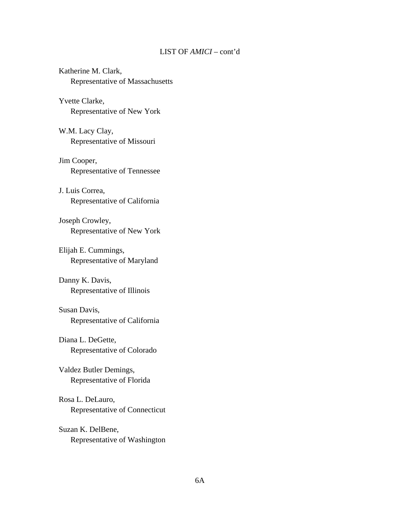Katherine M. Clark, Representative of Massachusetts

Yvette Clarke, Representative of New York

W.M. Lacy Clay, Representative of Missouri

Jim Cooper, Representative of Tennessee

J. Luis Correa, Representative of California

Joseph Crowley, Representative of New York

Elijah E. Cummings, Representative of Maryland

Danny K. Davis, Representative of Illinois

Susan Davis, Representative of California

Diana L. DeGette, Representative of Colorado

Valdez Butler Demings, Representative of Florida

Rosa L. DeLauro, Representative of Connecticut

Suzan K. DelBene, Representative of Washington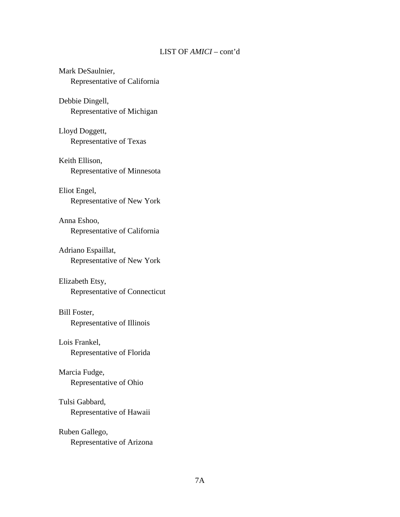# Mark DeSaulnier, Representative of California

### Debbie Dingell, Representative of Michigan

Lloyd Doggett, Representative of Texas

Keith Ellison, Representative of Minnesota

# Eliot Engel,

Representative of New York

Anna Eshoo, Representative of California

## Adriano Espaillat, Representative of New York

#### Elizabeth Etsy,

Representative of Connecticut

#### Bill Foster,

Representative of Illinois

#### Lois Frankel,

Representative of Florida

#### Marcia Fudge,

Representative of Ohio

### Tulsi Gabbard,

Representative of Hawaii

# Ruben Gallego,

Representative of Arizona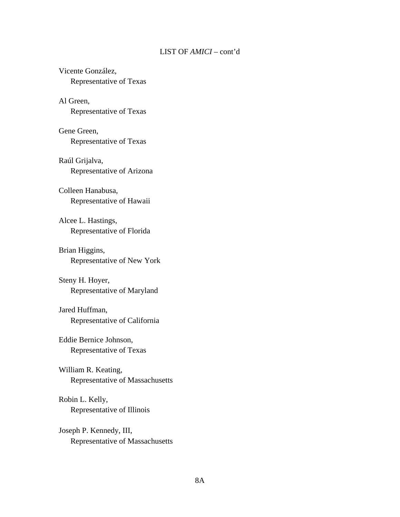Vicente González, Representative of Texas

Al Green, Representative of Texas

Gene Green, Representative of Texas

Raúl Grijalva, Representative of Arizona

Colleen Hanabusa, Representative of Hawaii

Alcee L. Hastings, Representative of Florida

Brian Higgins, Representative of New York

Steny H. Hoyer, Representative of Maryland

Jared Huffman, Representative of California

Eddie Bernice Johnson, Representative of Texas

William R. Keating, Representative of Massachusetts

Robin L. Kelly, Representative of Illinois

Joseph P. Kennedy, III, Representative of Massachusetts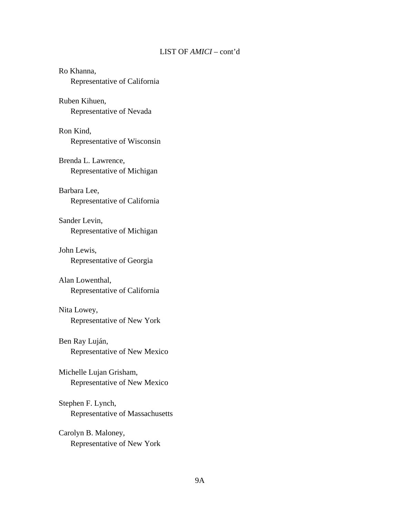# Ro Khanna, Representative of California Ruben Kihuen, Representative of Nevada Ron Kind, Representative of Wisconsin Brenda L. Lawrence, Representative of Michigan Barbara Lee, Representative of California Sander Levin, Representative of Michigan John Lewis, Representative of Georgia Alan Lowenthal, Representative of California Nita Lowey, Representative of New York Ben Ray Luján, Representative of New Mexico Michelle Lujan Grisham, Representative of New Mexico Stephen F. Lynch, Representative of Massachusetts Carolyn B. Maloney, Representative of New York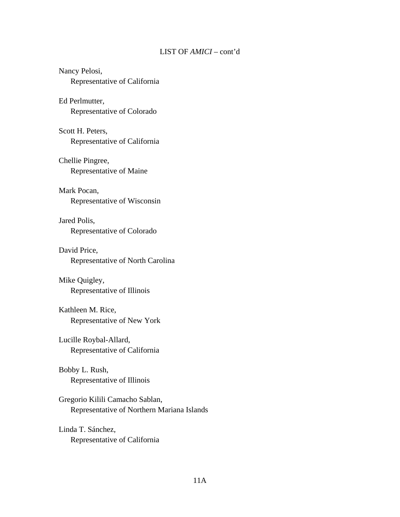# Nancy Pelosi, Representative of California

Ed Perlmutter, Representative of Colorado

Scott H. Peters, Representative of California

Chellie Pingree, Representative of Maine

Mark Pocan, Representative of Wisconsin

Jared Polis, Representative of Colorado

David Price, Representative of North Carolina

Mike Quigley, Representative of Illinois

Kathleen M. Rice, Representative of New York

Lucille Roybal-Allard, Representative of California

Bobby L. Rush, Representative of Illinois

Gregorio Kilili Camacho Sablan, Representative of Northern Mariana Islands

Linda T. Sánchez, Representative of California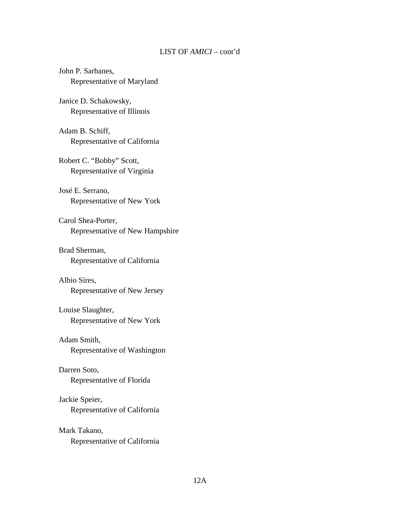John P. Sarbanes, Representative of Maryland

Janice D. Schakowsky, Representative of Illinois

Adam B. Schiff, Representative of California

Robert C. "Bobby" Scott, Representative of Virginia

José E. Serrano, Representative of New York

Carol Shea-Porter, Representative of New Hampshire

Brad Sherman, Representative of California

Albio Sires, Representative of New Jersey

Louise Slaughter, Representative of New York

Adam Smith,

Representative of Washington

Darren Soto,

Representative of Florida

Jackie Speier, Representative of California

Mark Takano, Representative of California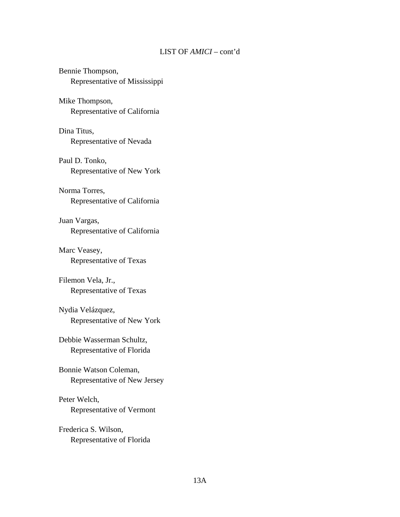# Bennie Thompson, Representative of Mississippi

Mike Thompson, Representative of California

Dina Titus, Representative of Nevada

Paul D. Tonko, Representative of New York

# Norma Torres, Representative of California

Juan Vargas, Representative of California

## Marc Veasey, Representative of Texas

#### Filemon Vela, Jr., Representative of Texas

## Nydia Velázquez, Representative of New York

### Debbie Wasserman Schultz, Representative of Florida

# Bonnie Watson Coleman, Representative of New Jersey

# Peter Welch, Representative of Vermont

# Frederica S. Wilson, Representative of Florida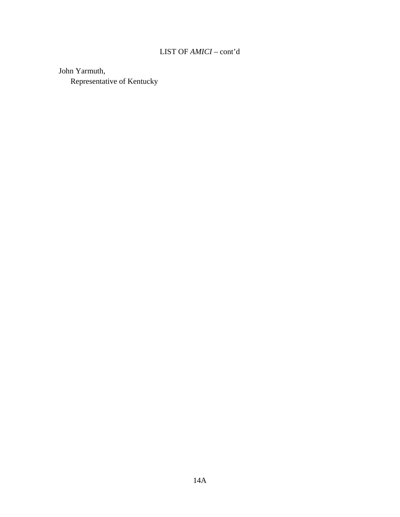John Yarmuth, Representative of Kentucky